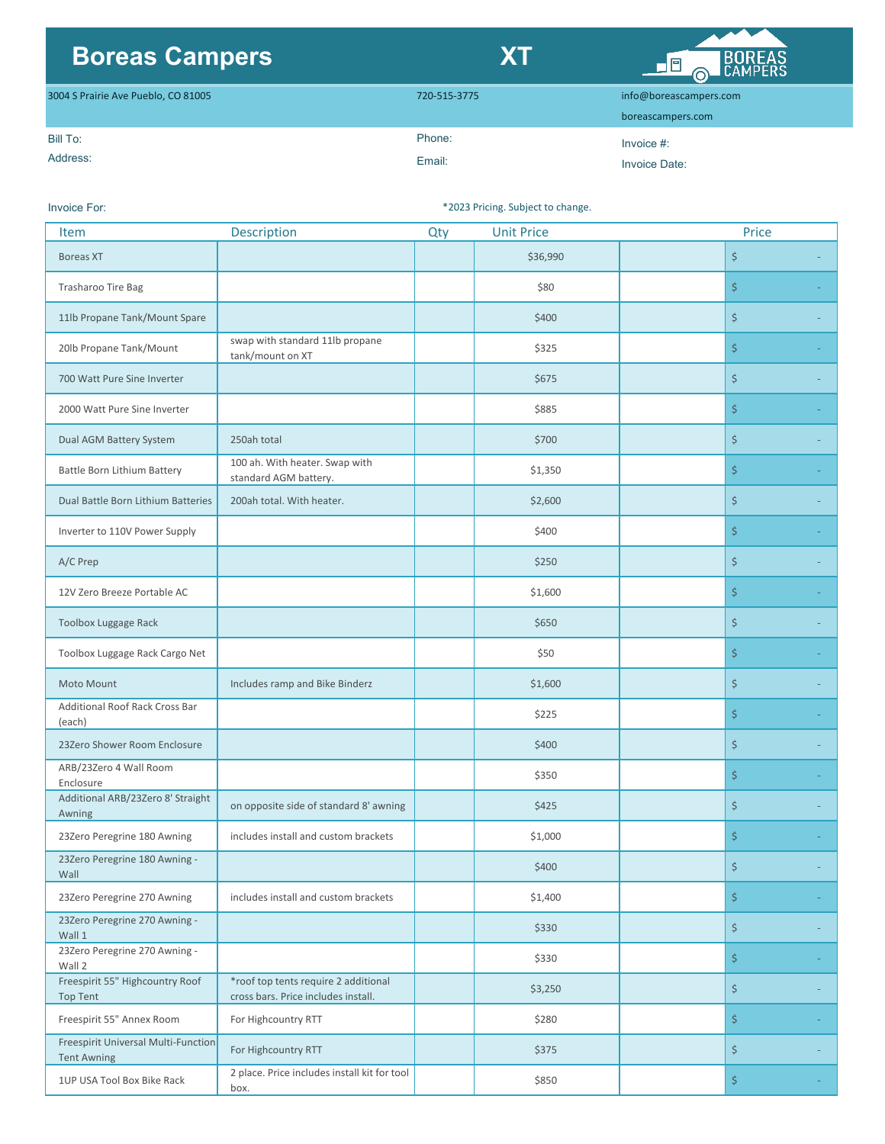## **Boreas Campers XT**



| 3004 S Prairie Ave Pueblo, CO 81005 | 720-515-3775 |                   |
|-------------------------------------|--------------|-------------------|
|                                     |              | boreascampers.com |
| Bill To:                            | Phone:       | Invoice $#$ :     |
| Address:                            | Email:       | Invoice Date:     |

## Invoice For:

\*2023 Pricing. Subject to change.

| <b>Item</b>                                               | Description                                                                 | Qty | <b>Unit Price</b> | Price |  |
|-----------------------------------------------------------|-----------------------------------------------------------------------------|-----|-------------------|-------|--|
| <b>Boreas XT</b>                                          |                                                                             |     | \$36,990          | \$    |  |
| Trasharoo Tire Bag                                        |                                                                             |     | \$80              | \$    |  |
| 11lb Propane Tank/Mount Spare                             |                                                                             |     | \$400             | \$    |  |
| 20lb Propane Tank/Mount                                   | swap with standard 11lb propane<br>tank/mount on XT                         |     | \$325             | \$    |  |
| 700 Watt Pure Sine Inverter                               |                                                                             |     | \$675             | \$    |  |
| 2000 Watt Pure Sine Inverter                              |                                                                             |     | \$885             | \$    |  |
| Dual AGM Battery System                                   | 250ah total                                                                 |     | \$700             | \$    |  |
| Battle Born Lithium Battery                               | 100 ah. With heater. Swap with<br>standard AGM battery.                     |     | \$1,350           | \$    |  |
| Dual Battle Born Lithium Batteries                        | 200ah total. With heater.                                                   |     | \$2,600           | \$    |  |
| Inverter to 110V Power Supply                             |                                                                             |     | \$400             | \$    |  |
| A/C Prep                                                  |                                                                             |     | \$250             | \$    |  |
| 12V Zero Breeze Portable AC                               |                                                                             |     | \$1,600           | \$    |  |
| <b>Toolbox Luggage Rack</b>                               |                                                                             |     | \$650             | \$    |  |
| Toolbox Luggage Rack Cargo Net                            |                                                                             |     | \$50              | \$    |  |
| Moto Mount                                                | Includes ramp and Bike Binderz                                              |     | \$1,600           | \$    |  |
| <b>Additional Roof Rack Cross Bar</b><br>(each)           |                                                                             |     | \$225             | \$    |  |
| 23Zero Shower Room Enclosure                              |                                                                             |     | \$400             | \$    |  |
| ARB/23Zero 4 Wall Room<br>Enclosure                       |                                                                             |     | \$350             | \$    |  |
| Additional ARB/23Zero 8' Straight<br>Awning               | on opposite side of standard 8' awning                                      |     | \$425             | \$    |  |
| 23Zero Peregrine 180 Awning                               | includes install and custom brackets                                        |     | \$1,000           | \$    |  |
| 23Zero Peregrine 180 Awning -<br>Wall                     |                                                                             |     | \$400             | \$    |  |
| 23Zero Peregrine 270 Awning                               | includes install and custom brackets                                        |     | \$1,400           | \$    |  |
| 23Zero Peregrine 270 Awning -<br>Wall 1                   |                                                                             |     | \$330             | \$    |  |
| 23Zero Peregrine 270 Awning -<br>Wall 2                   |                                                                             |     | \$330             | \$    |  |
| Freespirit 55" Highcountry Roof<br><b>Top Tent</b>        | *roof top tents require 2 additional<br>cross bars. Price includes install. |     | \$3,250           | \$    |  |
| Freespirit 55" Annex Room                                 | For Highcountry RTT                                                         |     | \$280             | \$    |  |
| Freespirit Universal Multi-Function<br><b>Tent Awning</b> | For Highcountry RTT                                                         |     | \$375             | \$    |  |
| 1UP USA Tool Box Bike Rack                                | 2 place. Price includes install kit for tool<br>box.                        |     | \$850             | \$    |  |